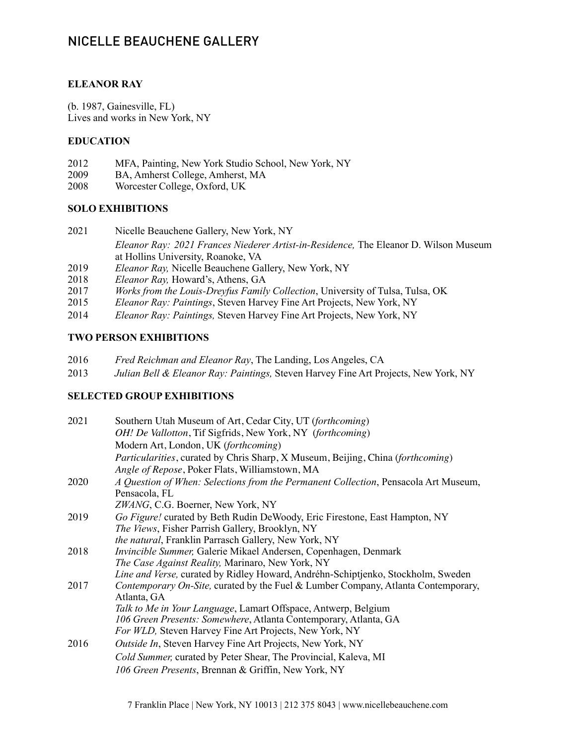# NICELLE BEAUCHENE GALLERY

#### **ELEANOR RAY**

(b. 1987, Gainesville, FL) Lives and works in New York, NY

#### **EDUCATION**

- 2012 MFA, Painting, New York Studio School, New York, NY
- 2009 BA, Amherst College, Amherst, MA
- 2008 Worcester College, Oxford, UK

#### **SOLO EXHIBITIONS**

- 2021 Nicelle Beauchene Gallery, New York, NY *Eleanor Ray: 2021 Frances Niederer Artist-in-Residence,* The Eleanor D. Wilson Museum at Hollins University, Roanoke, VA
- 2019 *Eleanor Ray,* Nicelle Beauchene Gallery, New York, NY
- 2018 *Eleanor Ray,* Howard's, Athens, GA
- 2017 *Works from the Louis-Dreyfus Family Collection*, University of Tulsa, Tulsa, OK
- 2015 *Eleanor Ray: Paintings*, Steven Harvey Fine Art Projects, New York, NY
- 2014 *Eleanor Ray: Paintings,* Steven Harvey Fine Art Projects, New York, NY

### **TWO PERSON EXHIBITIONS**

- 2016 *Fred Reichman and Eleanor Ray*, The Landing, Los Angeles, CA
- 2013 *Julian Bell & Eleanor Ray: Paintings,* Steven Harvey Fine Art Projects, New York, NY

### **SELECTED GROUP EXHIBITIONS**

| 2021 | Southern Utah Museum of Art, Cedar City, UT (forthcoming)                           |
|------|-------------------------------------------------------------------------------------|
|      | OH! De Vallotton, Tif Sigfrids, New York, NY (forthcoming)                          |
|      | Modern Art, London, UK (forthcoming)                                                |
|      | Particularities, curated by Chris Sharp, X Museum, Beijing, China (forthcoming)     |
|      | Angle of Repose, Poker Flats, Williamstown, MA                                      |
| 2020 | A Question of When: Selections from the Permanent Collection, Pensacola Art Museum, |
|      | Pensacola, FL                                                                       |
|      | ZWANG, C.G. Boerner, New York, NY                                                   |
| 2019 | Go Figure! curated by Beth Rudin DeWoody, Eric Firestone, East Hampton, NY          |
|      | The Views, Fisher Parrish Gallery, Brooklyn, NY                                     |
|      | the natural, Franklin Parrasch Gallery, New York, NY                                |
| 2018 | Invincible Summer, Galerie Mikael Andersen, Copenhagen, Denmark                     |
|      | The Case Against Reality, Marinaro, New York, NY                                    |
|      | Line and Verse, curated by Ridley Howard, Andréhn-Schiptjenko, Stockholm, Sweden    |
| 2017 | Contemporary On-Site, curated by the Fuel & Lumber Company, Atlanta Contemporary,   |
|      | Atlanta, GA                                                                         |
|      | Talk to Me in Your Language, Lamart Offspace, Antwerp, Belgium                      |
|      | 106 Green Presents: Somewhere, Atlanta Contemporary, Atlanta, GA                    |
|      | For WLD, Steven Harvey Fine Art Projects, New York, NY                              |
| 2016 | <i>Outside In</i> , Steven Harvey Fine Art Projects, New York, NY                   |
|      | Cold Summer, curated by Peter Shear, The Provincial, Kaleva, MI                     |
|      | 106 Green Presents, Brennan & Griffin, New York, NY                                 |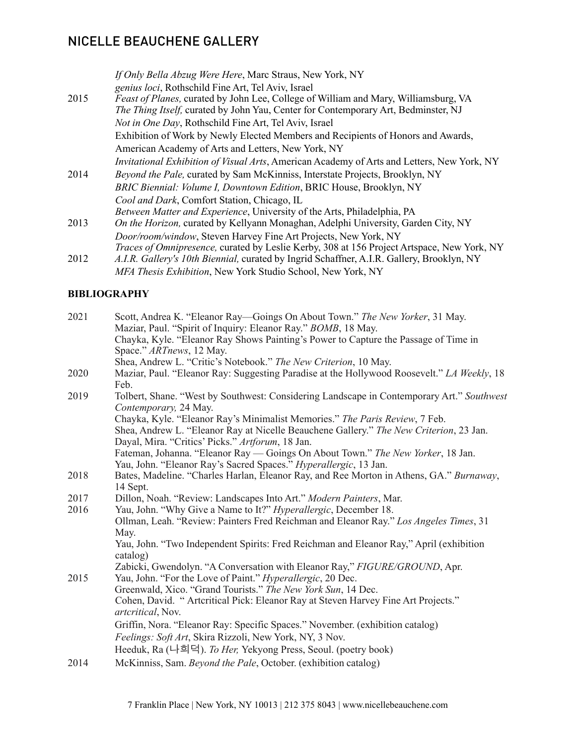# NICELLE BEAUCHENE GALLERY

|      | If Only Bella Abzug Were Here, Marc Straus, New York, NY<br>genius loci, Rothschild Fine Art, Tel Aviv, Israel                                                                   |
|------|----------------------------------------------------------------------------------------------------------------------------------------------------------------------------------|
| 2015 | <i>Feast of Planes,</i> curated by John Lee, College of William and Mary, Williamsburg, VA<br>The Thing Itself, curated by John Yau, Center for Contemporary Art, Bedminster, NJ |
|      | <i>Not in One Day</i> , Rothschild Fine Art, Tel Aviv, Israel                                                                                                                    |
|      | Exhibition of Work by Newly Elected Members and Recipients of Honors and Awards,                                                                                                 |
|      | American Academy of Arts and Letters, New York, NY                                                                                                                               |
|      | <i>Invitational Exhibition of Visual Arts</i> , American Academy of Arts and Letters, New York, NY                                                                               |
| 2014 | Beyond the Pale, curated by Sam McKinniss, Interstate Projects, Brooklyn, NY                                                                                                     |
|      | BRIC Biennial: Volume I, Downtown Edition, BRIC House, Brooklyn, NY                                                                                                              |
|      | Cool and Dark, Comfort Station, Chicago, IL                                                                                                                                      |
|      | Between Matter and Experience, University of the Arts, Philadelphia, PA                                                                                                          |
| 2013 | On the Horizon, curated by Kellyann Monaghan, Adelphi University, Garden City, NY                                                                                                |
|      | Door/room/window, Steven Harvey Fine Art Projects, New York, NY                                                                                                                  |
|      | Traces of Omnipresence, curated by Leslie Kerby, 308 at 156 Project Artspace, New York, NY                                                                                       |
| 2012 | A.I.R. Gallery's 10th Biennial, curated by Ingrid Schaffner, A.I.R. Gallery, Brooklyn, NY                                                                                        |

*MFA Thesis Exhibition*, New York Studio School, New York, NY

## **BIBLIOGRAPHY**

| 2021 | Scott, Andrea K. "Eleanor Ray—Goings On About Town." The New Yorker, 31 May.                                       |
|------|--------------------------------------------------------------------------------------------------------------------|
|      | Maziar, Paul. "Spirit of Inquiry: Eleanor Ray." BOMB, 18 May.                                                      |
|      | Chayka, Kyle. "Eleanor Ray Shows Painting's Power to Capture the Passage of Time in                                |
|      | Space." ARTnews, 12 May.                                                                                           |
|      | Shea, Andrew L. "Critic's Notebook." The New Criterion, 10 May.                                                    |
| 2020 | Maziar, Paul. "Eleanor Ray: Suggesting Paradise at the Hollywood Roosevelt." LA Weekly, 18<br>Feb.                 |
| 2019 | Tolbert, Shane. "West by Southwest: Considering Landscape in Contemporary Art." Southwest<br>Contemporary, 24 May. |
|      | Chayka, Kyle. "Eleanor Ray's Minimalist Memories." The Paris Review, 7 Feb.                                        |
|      | Shea, Andrew L. "Eleanor Ray at Nicelle Beauchene Gallery." The New Criterion, 23 Jan.                             |
|      | Dayal, Mira. "Critics' Picks." Artforum, 18 Jan.                                                                   |
|      | Fateman, Johanna. "Eleanor Ray — Goings On About Town." The New Yorker, 18 Jan.                                    |
|      | Yau, John. "Eleanor Ray's Sacred Spaces." <i>Hyperallergic</i> , 13 Jan.                                           |
| 2018 | Bates, Madeline. "Charles Harlan, Eleanor Ray, and Ree Morton in Athens, GA." Burnaway,                            |
|      | 14 Sept.                                                                                                           |
| 2017 | Dillon, Noah. "Review: Landscapes Into Art." Modern Painters, Mar.                                                 |
| 2016 | Yau, John. "Why Give a Name to It?" Hyperallergic, December 18.                                                    |
|      | Ollman, Leah. "Review: Painters Fred Reichman and Eleanor Ray." Los Angeles Times, 31                              |
|      | May.                                                                                                               |
|      | Yau, John. "Two Independent Spirits: Fred Reichman and Eleanor Ray," April (exhibition                             |
|      | catalog)                                                                                                           |
|      | Zabicki, Gwendolyn. "A Conversation with Eleanor Ray," FIGURE/GROUND, Apr.                                         |
| 2015 | Yau, John. "For the Love of Paint." Hyperallergic, 20 Dec.                                                         |
|      | Greenwald, Xico. "Grand Tourists." The New York Sun, 14 Dec.                                                       |
|      | Cohen, David. "Arteritical Pick: Eleanor Ray at Steven Harvey Fine Art Projects."                                  |
|      | <i>artcritical</i> , Nov.                                                                                          |
|      | Griffin, Nora. "Eleanor Ray: Specific Spaces." November. (exhibition catalog)                                      |
|      | Feelings: Soft Art, Skira Rizzoli, New York, NY, 3 Nov.                                                            |
|      | Heeduk, Ra (나희덕). To Her, Yekyong Press, Seoul. (poetry book)                                                      |
| 2014 | McKinniss, Sam. Beyond the Pale, October. (exhibition catalog)                                                     |
|      |                                                                                                                    |